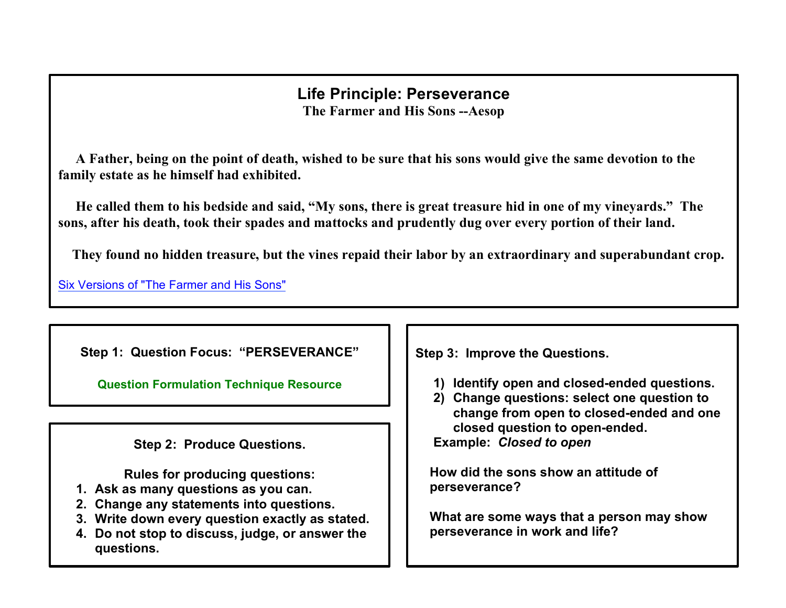## **Life Principle: Perseverance The Farmer and His Sons --Aesop**

 **A Father, being on the point of death, wished to be sure that his sons would give the same devotion to the family estate as he himself had exhibited.**

 **He called them to his bedside and said, "My sons, there is great treasure hid in one of my vineyards." The sons, after his death, took their spades and mattocks and prudently dug over every portion of their land.**

 **They found no hidden treasure, but the vines repaid their labor by an extraordinary and superabundant crop.**

Six Versions of "The Farmer and His Sons"

**Step 1: Question Focus: "PERSEVERANCE"**

**[Question Formulation](http://www.greatexpectations.org/question-technique-formulation-resource) Technique Resource** 

**Step 2: Produce Questions.**

**Rules for producing questions:**

- **1. Ask as many questions as you can.**
- **2. Change any statements into questions.**
- **3. Write down every question exactly as stated.**
- **4. Do not stop to discuss, judge, or answer the questions.**

**Step 3: Improve the Questions.**

- **1) Identify open and closed-ended questions.**
- **2) Change questions: select one question to change from open to closed-ended and one closed question to open-ended.**

**Example:** *Closed to open*

 **How did the sons show an attitude of perseverance?**

 **What are some ways that a person may show perseverance in work and life?**